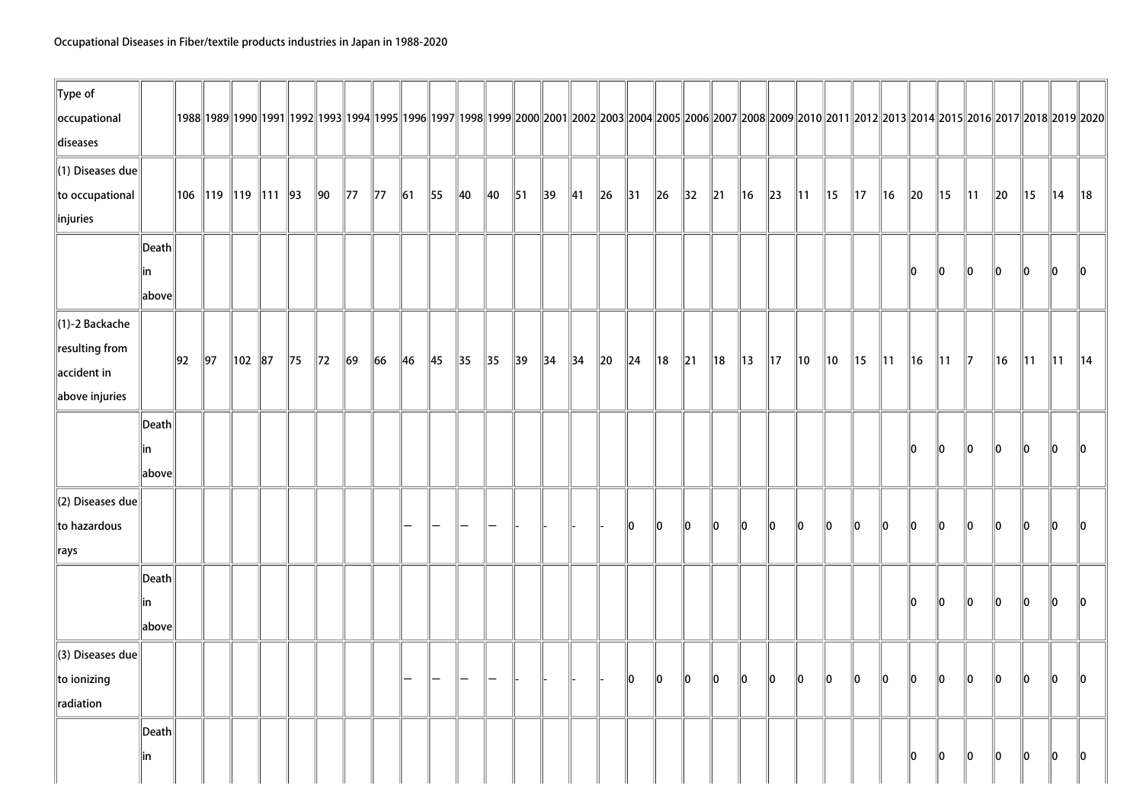| $\ $ Type of                 |                       |    |                |                            |                |                |                |                |                |                |                |                |                |                |                |          |                |                |                |                |                |                |                |                |                |                |               |                |                |          |                |                |                                                                                                                                                                                                |
|------------------------------|-----------------------|----|----------------|----------------------------|----------------|----------------|----------------|----------------|----------------|----------------|----------------|----------------|----------------|----------------|----------------|----------|----------------|----------------|----------------|----------------|----------------|----------------|----------------|----------------|----------------|----------------|---------------|----------------|----------------|----------|----------------|----------------|------------------------------------------------------------------------------------------------------------------------------------------------------------------------------------------------|
| occupational                 |                       |    |                |                            |                |                |                |                |                |                |                |                |                |                |                |          |                |                |                |                |                |                |                |                |                |                |               |                |                |          |                |                | 1992  1992  1992  1993  1993  1994  1995  1996  1997  1998  1999  2000  2001  2002  2003  2004  2005  2006  2007  2008  2009  2010  2011  2012  2013  2014  2015  2016  2017  2018  2019  2020 |
| diseases                     |                       |    |                |                            |                |                |                |                |                |                |                |                |                |                |                |          |                |                |                |                |                |                |                |                |                |                |               |                |                |          |                |                |                                                                                                                                                                                                |
| $\ $ (1) Diseases due        |                       |    |                |                            |                |                |                |                |                |                |                |                |                |                |                |          |                |                |                |                |                |                |                |                |                |                |               |                |                |          |                |                |                                                                                                                                                                                                |
| to occupational              |                       |    |                | 106   119   119   111   93 |                | $\parallel$ 90 | $\parallel$ 77 | $\parallel$ 77 | $\vert$ 61     | $\parallel$ 55 | $\parallel$ 40 | $\parallel$ 40 | $\parallel$ 51 | $\parallel$ 39 | $\parallel$ 41 | $\ $ 26  | $\parallel$ 31 | $\ $ 26        | $\parallel$ 32 | $\ 21$         | $\parallel$ 16 | $\ $ 23        | $\parallel$ 11 | $\parallel$ 15 | $\parallel$ 17 | 16             | $\ 20\ $      | 15             | $\parallel$ 11 | $\ 20\ $ | $\parallel$ 15 | ∥14            | $\parallel$ 18                                                                                                                                                                                 |
| injuries                     |                       |    |                |                            |                |                |                |                |                |                |                |                |                |                |                |          |                |                |                |                |                |                |                |                |                |                |               |                |                |          |                |                |                                                                                                                                                                                                |
|                              | $\vert$ Death $\vert$ |    |                |                            |                |                |                |                |                |                |                |                |                |                |                |          |                |                |                |                |                |                |                |                |                |                |               |                |                |          |                |                |                                                                                                                                                                                                |
|                              | lin<br>above          |    |                |                            |                |                |                |                |                |                |                |                |                |                |                |          |                |                |                |                |                |                |                |                |                |                | 10            | 10             | 10             | 10       | 10             | 10             | 10                                                                                                                                                                                             |
| $\ $ (1)-2 Backache          |                       |    |                |                            |                |                |                |                |                |                |                |                |                |                |                |          |                |                |                |                |                |                |                |                |                |                |               |                |                |          |                |                |                                                                                                                                                                                                |
| resulting from               |                       |    | $\parallel$ 97 | 102 87                     |                | $\parallel$ 72 | $\ 69\ $       | $\ 66\ $       | $\parallel$ 46 | $\parallel$ 45 | $\parallel$ 35 | $\parallel$ 35 | $\parallel$ 39 | $\parallel$ 34 | $\vert$ 34     | $\ 20\ $ | $\vert$ 24     | $\parallel$ 18 |                | $\parallel$ 18 | $\parallel$ 13 | $\parallel$ 17 |                | ∥10            | $\parallel$ 15 |                |               |                |                |          |                |                |                                                                                                                                                                                                |
| $\parallel$ accident in      |                       | 92 |                |                            | $\parallel$ 75 |                |                |                |                |                |                |                |                |                |                |          |                |                | $\parallel$ 21 |                |                |                | $\parallel$ 10 |                |                | $\parallel$ 11 | ∥16           | $\parallel$ 11 | $\parallel$ 7  | 16       | $\parallel$ 11 | $\parallel$ 11 | $\parallel$ 14                                                                                                                                                                                 |
| above injuries               |                       |    |                |                            |                |                |                |                |                |                |                |                |                |                |                |          |                |                |                |                |                |                |                |                |                |                |               |                |                |          |                |                |                                                                                                                                                                                                |
|                              | $\vert$ Death $\vert$ |    |                |                            |                |                |                |                |                |                |                |                |                |                |                |          |                |                |                |                |                |                |                |                |                |                |               |                |                |          |                |                |                                                                                                                                                                                                |
|                              | lin                   |    |                |                            |                |                |                |                |                |                |                |                |                |                |                |          |                |                |                |                |                |                |                |                |                |                | 10            | 10             | 10             | 10       | 10             | ∥0             | 10                                                                                                                                                                                             |
|                              | above                 |    |                |                            |                |                |                |                |                |                |                |                |                |                |                |          |                |                |                |                |                |                |                |                |                |                |               |                |                |          |                |                |                                                                                                                                                                                                |
| $\parallel$ (2) Diseases due |                       |    |                |                            |                |                |                |                |                |                |                |                |                |                |                |          |                |                |                |                |                |                |                |                |                |                |               |                |                |          |                |                |                                                                                                                                                                                                |
| to hazardous                 |                       |    |                |                            |                |                |                |                |                |                |                |                |                |                |                |          | 10             | 10             | 10             | $\ 0\ $        | $\ 0\ $        | $\parallel$ 0  | 10             | $\ 0\ $        | $\ 0\ $        | $\ 0\ $        | $\parallel$ 0 | $\ 0\ $        | $\ 0\ $        | $\ 0\ $  | $\ 0\ $        | $\parallel$ 0  | 10                                                                                                                                                                                             |
| $\ $ rays                    |                       |    |                |                            |                |                |                |                |                |                |                |                |                |                |                |          |                |                |                |                |                |                |                |                |                |                |               |                |                |          |                |                |                                                                                                                                                                                                |
|                              | Death                 |    |                |                            |                |                |                |                |                |                |                |                |                |                |                |          |                |                |                |                |                |                |                |                |                |                |               |                |                |          |                |                |                                                                                                                                                                                                |
|                              | lin                   |    |                |                            |                |                |                |                |                |                |                |                |                |                |                |          |                |                |                |                |                |                |                |                |                |                | 10            | $\ 0\ $        | $\ 0\ $        | $\ 0\ $  | $\ 0\ $        | 10             | $\ 0\ $                                                                                                                                                                                        |
|                              | above                 |    |                |                            |                |                |                |                |                |                |                |                |                |                |                |          |                |                |                |                |                |                |                |                |                |                |               |                |                |          |                |                |                                                                                                                                                                                                |
| $\parallel$ (3) Diseases due |                       |    |                |                            |                |                |                |                |                |                |                |                |                |                |                |          |                |                |                |                |                |                |                |                |                |                |               |                |                |          |                |                |                                                                                                                                                                                                |
| $\ $ to ionizing             |                       |    |                |                            |                |                |                |                |                |                |                |                |                |                |                |          | 10             | $\ 0\ $        | $\ 0\ $        | $\ 0\ $        | $\ 0\ $        | $\ 0\ $        | $\ 0\ $        | $\ 0\ $        | $\ 0\ $        | $\ 0\ $        | $\ 0\ $       | $\ 0\ $        | $\ 0\ $        | $\ 0\ $  | $\ 0\ $        | $\parallel$ 0  | $\parallel$ 0                                                                                                                                                                                  |
| radiation                    |                       |    |                |                            |                |                |                |                |                |                |                |                |                |                |                |          |                |                |                |                |                |                |                |                |                |                |               |                |                |          |                |                |                                                                                                                                                                                                |
|                              | Death                 |    |                |                            |                |                |                |                |                |                |                |                |                |                |                |          |                |                |                |                |                |                |                |                |                |                |               |                |                |          |                |                |                                                                                                                                                                                                |
|                              | in                    |    |                |                            |                |                |                |                |                |                |                |                |                |                |                |          |                |                |                |                |                |                |                |                |                |                | 10            | 10             | $\parallel$ 0  | 10       | $\parallel$ 0  | 10             | $\ 0\ $                                                                                                                                                                                        |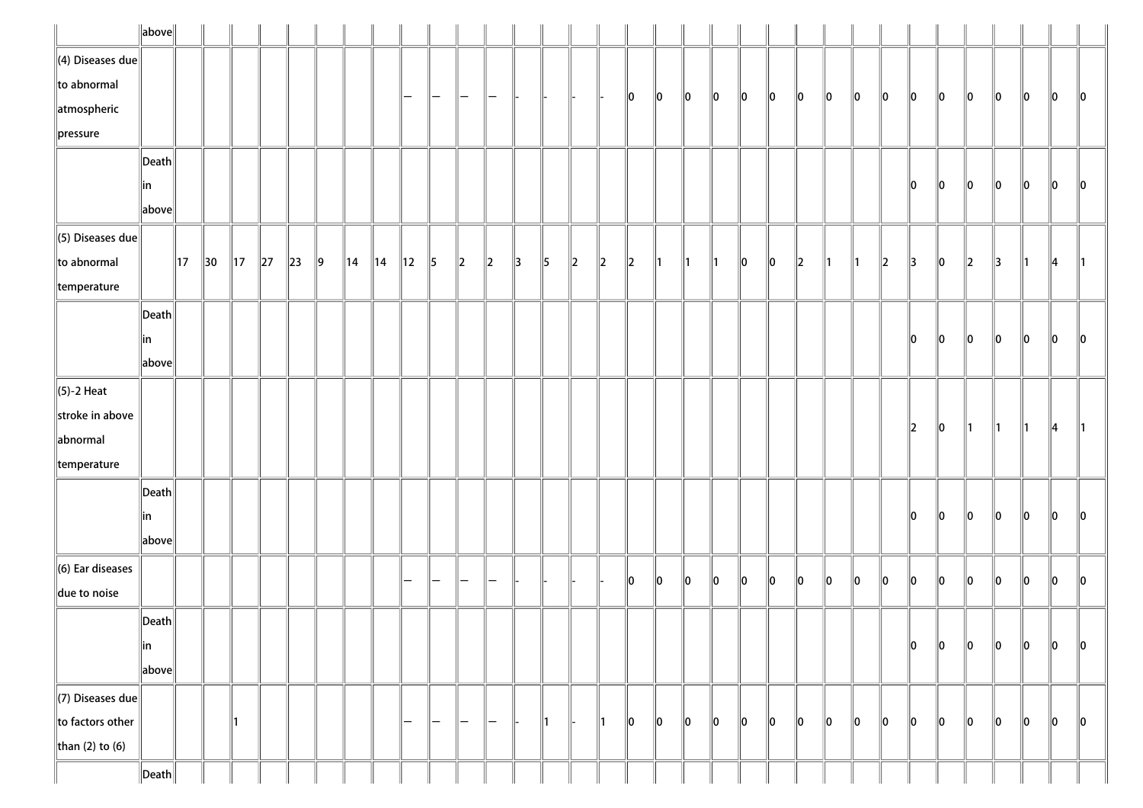|                          | $\ $ above $\ $       |                |                |                |          |          |               |                |                |                |                   |               |         |               |               |               |               |               |               |               |               |    |    |         |    |     |               |               |         |               |    |    |    |               |
|--------------------------|-----------------------|----------------|----------------|----------------|----------|----------|---------------|----------------|----------------|----------------|-------------------|---------------|---------|---------------|---------------|---------------|---------------|---------------|---------------|---------------|---------------|----|----|---------|----|-----|---------------|---------------|---------|---------------|----|----|----|---------------|
| $\ $ (4) Diseases due    |                       |                |                |                |          |          |               |                |                |                |                   |               |         |               |               |               |               |               |               |               |               |    |    |         |    |     |               |               |         |               |    |    |    |               |
| $\ $ to abnormal         |                       |                |                |                |          |          |               |                |                | -              | —                 |               |         |               |               |               |               | $\parallel$ 0 | 10            | $\ 0\ $       | 10            | 10 | 10 | 10      | 10 | 10  | 10            | 10            | 10      | 10            | 10 | 10 | 10 | $\ 0\ $       |
| $\parallel$ atmospheric  |                       |                |                |                |          |          |               |                |                |                |                   |               |         |               |               |               |               |               |               |               |               |    |    |         |    |     |               |               |         |               |    |    |    |               |
| $\ $ pressure            |                       |                |                |                |          |          |               |                |                |                |                   |               |         |               |               |               |               |               |               |               |               |    |    |         |    |     |               |               |         |               |    |    |    |               |
|                          | $\vert$ Death $\vert$ |                |                |                |          |          |               |                |                |                |                   |               |         |               |               |               |               |               |               |               |               |    |    |         |    |     |               |               |         |               |    |    |    |               |
|                          | in                    |                |                |                |          |          |               |                |                |                |                   |               |         |               |               |               |               |               |               |               |               |    |    |         |    |     |               | 10            | 10      | 10            | 10 | 10 | 10 | 10            |
|                          | above                 |                |                |                |          |          |               |                |                |                |                   |               |         |               |               |               |               |               |               |               |               |    |    |         |    |     |               |               |         |               |    |    |    |               |
| $\ $ (5) Diseases due    |                       |                |                |                |          |          |               |                |                |                |                   |               |         |               |               |               |               |               |               |               |               |    |    |         |    |     |               |               |         |               |    |    |    |               |
| $\ $ to abnormal         |                       | $\parallel$ 17 | $\parallel$ 30 | $\parallel$ 17 | $\ 27\ $ | $\ 23\ $ | $\parallel$ 9 | $\parallel$ 14 | $\parallel$ 14 | $\parallel$ 12 | $\parallel$ 5     | $\ 2\ $       | $\ 2\ $ | $\parallel$ 3 | $\parallel$ 5 | $\parallel$ 2 | $\ 2\ $       | $\parallel$   | $\parallel$ 1 | $\parallel$ 1 | $\parallel$ 1 | 10 | 10 | $\ 2\ $ | ∥1 | ∥1  | $\parallel$ 2 | $\parallel$ 3 | 10      | $\ 2\ $       | 3  | 11 | 4  | $\parallel$ 1 |
| $\parallel$ temperature  |                       |                |                |                |          |          |               |                |                |                |                   |               |         |               |               |               |               |               |               |               |               |    |    |         |    |     |               |               |         |               |    |    |    |               |
|                          | $\vert$ Death $\vert$ |                |                |                |          |          |               |                |                |                |                   |               |         |               |               |               |               |               |               |               |               |    |    |         |    |     |               |               |         |               |    |    |    |               |
|                          | in                    |                |                |                |          |          |               |                |                |                |                   |               |         |               |               |               |               |               |               |               |               |    |    |         |    |     |               | 10            | 10      | 10            | 10 | 10 | 10 | 10            |
|                          | above                 |                |                |                |          |          |               |                |                |                |                   |               |         |               |               |               |               |               |               |               |               |    |    |         |    |     |               |               |         |               |    |    |    |               |
| $\ $ (5)-2 Heat          |                       |                |                |                |          |          |               |                |                |                |                   |               |         |               |               |               |               |               |               |               |               |    |    |         |    |     |               |               |         |               |    |    |    |               |
| stroke in above          |                       |                |                |                |          |          |               |                |                |                |                   |               |         |               |               |               |               |               |               |               |               |    |    |         |    |     |               |               |         |               |    |    |    |               |
| abnormal                 |                       |                |                |                |          |          |               |                |                |                |                   |               |         |               |               |               |               |               |               |               |               |    |    |         |    |     |               | 2             | $\ 0\ $ | $\parallel$ 1 | ∥1 | 11 | 14 | $\parallel$ 1 |
| $\parallel$ temperature  |                       |                |                |                |          |          |               |                |                |                |                   |               |         |               |               |               |               |               |               |               |               |    |    |         |    |     |               |               |         |               |    |    |    |               |
|                          | $\vert$ Death $\vert$ |                |                |                |          |          |               |                |                |                |                   |               |         |               |               |               |               |               |               |               |               |    |    |         |    |     |               |               |         |               |    |    |    |               |
|                          | in                    |                |                |                |          |          |               |                |                |                |                   |               |         |               |               |               |               |               |               |               |               |    |    |         |    |     |               | 10            | 10      | lo.           | 10 | 10 | 10 | 10            |
|                          | above                 |                |                |                |          |          |               |                |                |                |                   |               |         |               |               |               |               |               |               |               |               |    |    |         |    |     |               |               |         |               |    |    |    |               |
| $\ $ (6) Ear diseases    |                       |                |                |                |          |          |               |                |                |                |                   |               |         |               |               |               |               |               |               |               |               |    |    |         |    |     |               |               |         |               |    |    |    |               |
| $\parallel$ due to noise |                       |                |                |                |          |          |               |                |                |                |                   |               |         |               |               |               |               | 10            | 10            | $\ 0\ $       | 10            | 10 | 10 | 10      | 10 | llo | 10            | llo           | ∥o      | $\ 0\ $       | 10 | 10 | 10 | $\ 0\ $       |
|                          | $\ $ Death $\ $       |                |                |                |          |          |               |                |                |                |                   |               |         |               |               |               |               |               |               |               |               |    |    |         |    |     |               |               |         |               |    |    |    |               |
|                          | ∥in                   |                |                |                |          |          |               |                |                |                |                   |               |         |               |               |               |               |               |               |               |               |    |    |         |    |     |               | 10            | $\ 0\ $ | $\ 0\ $       | 10 | 10 | 10 | 10            |
|                          | above                 |                |                |                |          |          |               |                |                |                |                   |               |         |               |               |               |               |               |               |               |               |    |    |         |    |     |               |               |         |               |    |    |    |               |
| $\Vert$ (7) Diseases due |                       |                |                |                |          |          |               |                |                |                |                   |               |         |               |               |               |               |               |               |               |               |    |    |         |    |     |               |               |         |               |    |    |    |               |
| $\ $ to factors other    |                       |                |                | ∥1             |          |          |               |                |                | -              | $\qquad \qquad -$ | $\overline{}$ | —       |               | ∥1            |               | $\parallel$ 1 | 10            | 10            | $\ 0\ $       | 10            | 10 | 10 | 10      | 10 | 10  | 10            | $\ 0\ $       | 10      | 10            | 10 | 10 | 10 | 10            |
| than (2) to (6)          |                       |                |                |                |          |          |               |                |                |                |                   |               |         |               |               |               |               |               |               |               |               |    |    |         |    |     |               |               |         |               |    |    |    |               |
|                          | $\ $ Death $\ $       |                |                |                |          |          |               |                |                |                |                   |               |         |               |               |               |               |               |               |               |               |    |    |         |    |     |               |               |         |               |    |    |    |               |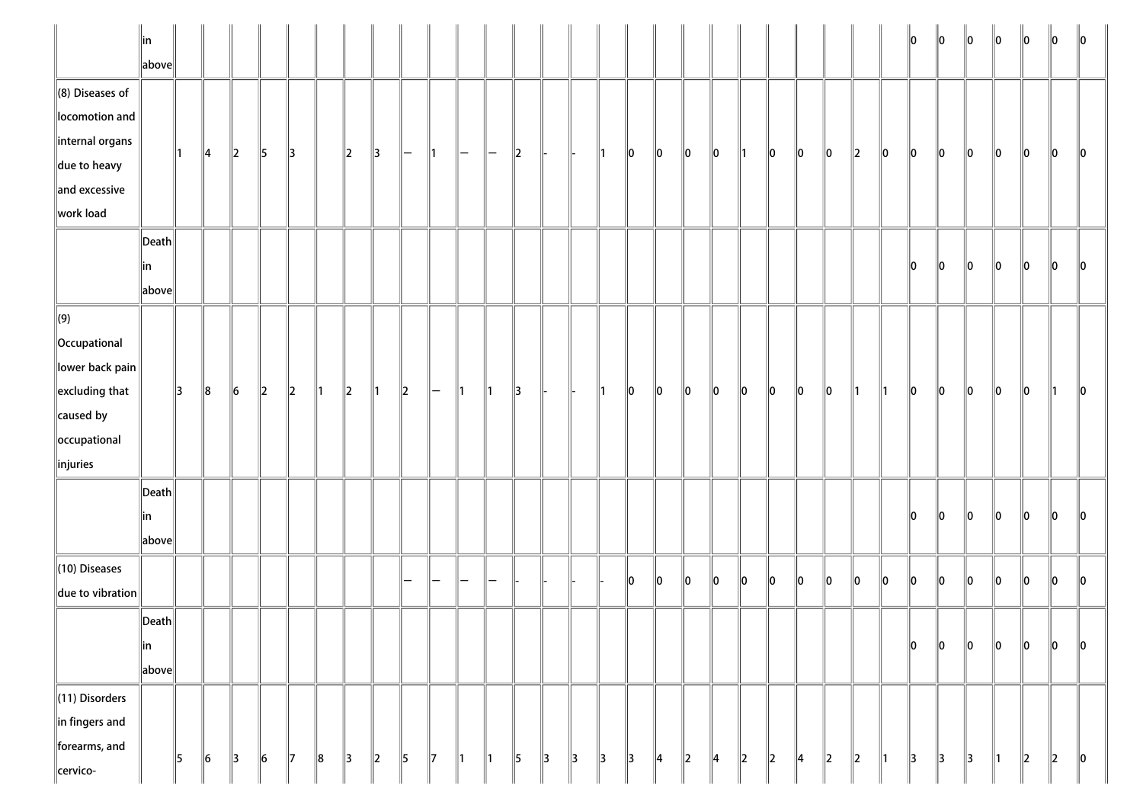|                                                                                                                                 | $\ $ in<br>above                      |               |               |               |         |               |               |               |               |                |               |                |               |               |               |               |               |               |               |             |               |         |         |    |         |         |     | 10      | 10            | $\ 0\ $       | $\ 0\ $       | $\ 0\ $ | 10      | $\mathsf{I}$ 10 |
|---------------------------------------------------------------------------------------------------------------------------------|---------------------------------------|---------------|---------------|---------------|---------|---------------|---------------|---------------|---------------|----------------|---------------|----------------|---------------|---------------|---------------|---------------|---------------|---------------|---------------|-------------|---------------|---------|---------|----|---------|---------|-----|---------|---------------|---------------|---------------|---------|---------|-----------------|
| $\ $ (8) Diseases of<br>locomotion and<br>internal organs<br>$\ $ due to heavy                                                  |                                       | 11.           | $\parallel$ 4 | $\ 2\ $       | 5       | $\parallel$ 3 |               | $\ 2\ $       | ∥3            | $\overline{ }$ | 11            | $\overline{ }$ | $\overline{}$ | 2             |               | ll-           | ∥1            | 10            | 10            | 10          | 10            | 11      | 10      | 10 | 10      | $\ 2\ $ | 10  | $\ 0\ $ | 10            | $\ 0\ $       | 10            | $\ 0\ $ | $\ 0\ $ | 10              |
| and excessive<br>work load                                                                                                      |                                       |               |               |               |         |               |               |               |               |                |               |                |               |               |               |               |               |               |               |             |               |         |         |    |         |         |     |         |               |               |               |         |         |                 |
|                                                                                                                                 | $\ $ Death $\ $<br>∥in<br>above       |               |               |               |         |               |               |               |               |                |               |                |               |               |               |               |               |               |               |             |               |         |         |    |         |         |     | 10      | 10            | $\ 0\ $       | $\ 0\ $       | $\ 0\ $ | $\ 0\ $ | 10              |
| $\Vert$ (9)<br>  Occupational<br>lower back pain<br>$\left\ $ excluding that<br>$\ $ caused by<br>occupational<br>$\ $ injuries |                                       | $\parallel$ 3 | $\ 8$         | $\vert$ 6     | $\ 2\ $ | $\ 2\ $       | $\parallel$ 1 | $\vert$ 2     | $\parallel$ 1 | $\vert$ 2      | $\vdash$      | $\parallel$ 1  | $\parallel$ 1 | $\parallel$ 3 |               |               | $\parallel$ 1 | $ 0\rangle$   | $\ 0\ $       | $ 0\rangle$ | $\ 0\ $       | $\ 0\ $ | $\ 0\ $ | 10 | $\ 0\ $ | ∥1      | ∥1  | 10      | $\ 0\ $       | 10            | $\ 0\ $       | 10      | ∥1      | 10              |
|                                                                                                                                 | $\vert$ Death $\vert$<br>∥in<br>above |               |               |               |         |               |               |               |               |                |               |                |               |               |               |               |               |               |               |             |               |         |         |    |         |         |     | 10      | llo           | lo.           | llo.          | llo.    | 10      | 10              |
| $\ $ (10) Diseases<br>$\ $ due to vibration                                                                                     |                                       |               |               |               |         |               |               |               |               |                |               |                |               |               |               |               |               | 10            | 10            | 10          | ∥o            | 10      | ∥o      | 10 | 10      | 10      | 10  | $\ _0$  | 10            | $\ _0$        | $\ _0$        | $\ _0$  | $\ _0$  | $\ 0\ $         |
|                                                                                                                                 | $\ $ Death $\ $<br>∥in<br>above       |               |               |               |         |               |               |               |               |                |               |                |               |               |               |               |               |               |               |             |               |         |         |    |         |         |     | $\ 0\ $ | $\ 0\ $       | $\ 0\ $       | $\ 0\ $       | $\ 0\ $ | $\ 0\ $ | $\ 0\ $         |
| $\ $ (11) Disorders<br>$\ $ in fingers and<br>forearms, and<br>cervico-                                                         |                                       | 5             | $\ 6\ $       | $\parallel$ 3 | $\ 6\ $ | $\parallel$ 7 | ∥8            | $\parallel$ 3 | $\ 2\ $       | 5              | $\parallel$ 7 | $\parallel$ 1  | $\parallel$ 1 | $\parallel$ 5 | $\parallel$ 3 | $\parallel$ 3 | $\parallel$ 3 | $\parallel$ 3 | $\parallel$ 4 | $\ 2\ $     | $\parallel$ 4 | $\ 2\ $ | $\ 2\ $ | 4  | $\ 2\ $ | $\ 2\ $ | ∥1∶ | 3       | $\parallel$ 3 | $\parallel$ 3 | $\parallel$ 1 | $\ 2\ $ | $\ 2\ $ | $\ 0\ $         |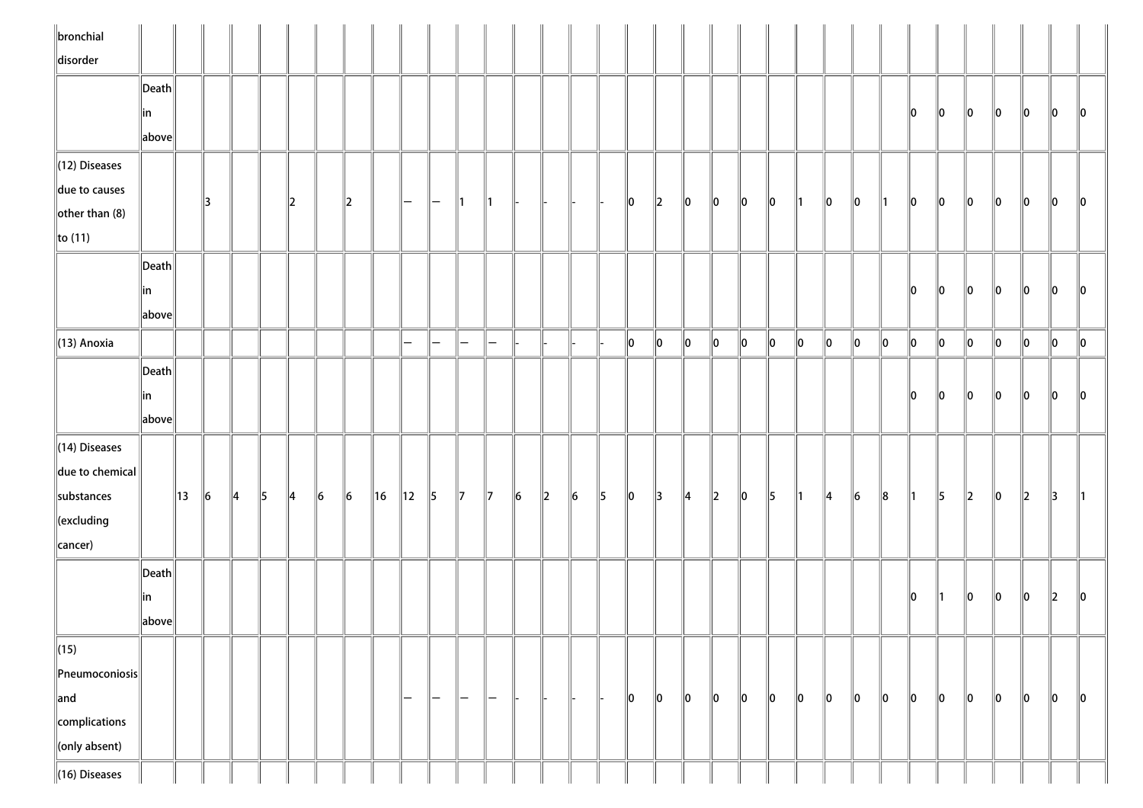| $\ $ bronchial              |                                      |    |         |               |               |               |           |           |         |                   |                   |                    |               |           |         |           |               |         |               |               |             |             |               |               |               |           |    |         |         |               |         |               |               |               |
|-----------------------------|--------------------------------------|----|---------|---------------|---------------|---------------|-----------|-----------|---------|-------------------|-------------------|--------------------|---------------|-----------|---------|-----------|---------------|---------|---------------|---------------|-------------|-------------|---------------|---------------|---------------|-----------|----|---------|---------|---------------|---------|---------------|---------------|---------------|
| disorder                    |                                      |    |         |               |               |               |           |           |         |                   |                   |                    |               |           |         |           |               |         |               |               |             |             |               |               |               |           |    |         |         |               |         |               |               |               |
|                             | $\ $ Death $\ $                      |    |         |               |               |               |           |           |         |                   |                   |                    |               |           |         |           |               |         |               |               |             |             |               |               |               |           |    |         |         |               |         |               |               |               |
|                             | ∥in                                  |    |         |               |               |               |           |           |         |                   |                   |                    |               |           |         |           |               |         |               |               |             |             |               |               |               |           |    | 10      | 10      | 10            | 10      | 10            | 10            | 10            |
|                             | above                                |    |         |               |               |               |           |           |         |                   |                   |                    |               |           |         |           |               |         |               |               |             |             |               |               |               |           |    |         |         |               |         |               |               |               |
| $\ $ (12) Diseases          |                                      |    |         |               |               |               |           |           |         |                   |                   |                    |               |           |         |           |               |         |               |               |             |             |               |               |               |           |    |         |         |               |         |               |               |               |
| due to causes               |                                      |    | 13      |               |               | 2             |           | 2         |         | $\qquad \qquad -$ | $\qquad \qquad -$ | ∥1                 | $\parallel$ 1 |           |         | H-        |               | 10      | $\ 2\ $       | 10            | $ 0\rangle$ | $\ 0\ $     | $ 0\rangle$   | $\parallel$ 1 | 10            | 10        | ∥1 | 10      | 10      | 10            | 10      | 10            | $\ 0\ $       | $\parallel$ 0 |
| $\left\Vert$ other than (8) |                                      |    |         |               |               |               |           |           |         |                   |                   |                    |               |           |         |           |               |         |               |               |             |             |               |               |               |           |    |         |         |               |         |               |               |               |
| $\ $ to (11)                |                                      |    |         |               |               |               |           |           |         |                   |                   |                    |               |           |         |           |               |         |               |               |             |             |               |               |               |           |    |         |         |               |         |               |               |               |
|                             | $\ $ Death $\ $                      |    |         |               |               |               |           |           |         |                   |                   |                    |               |           |         |           |               |         |               |               |             |             |               |               |               |           |    |         |         |               |         |               |               |               |
|                             | ∥in                                  |    |         |               |               |               |           |           |         |                   |                   |                    |               |           |         |           |               |         |               |               |             |             |               |               |               |           |    | 10      | 10      | 10            | 10      | 10            | 10            | 10            |
|                             | $\left\Vert \text{above}\right\Vert$ |    |         |               |               |               |           |           |         |                   |                   |                    |               |           |         |           |               |         |               |               |             |             |               |               |               |           |    |         |         |               |         |               |               |               |
| $\parallel$ (13) Anoxia     |                                      |    |         |               |               |               |           |           |         | $\qquad \qquad =$ | $-$               | $-$                | -             |           |         |           |               | 0       | $\ 0\ $       | $\ 0\ $       | $\ 0\ $     | $\ 0\ $     | $\ 0\ $       | $ 0\rangle$   | $\ 0\ $       | 0         | 10 | $\ 0\ $ | $\ 0\ $ | $\ 0\ $       | $\ 0\ $ | $\ 0\ $       | $\ 0\ $       | $\ 0\ $       |
|                             | $\vert$ Death $\vert$                |    |         |               |               |               |           |           |         |                   |                   |                    |               |           |         |           |               |         |               |               |             |             |               |               |               |           |    |         |         |               |         |               |               |               |
|                             | ∥in                                  |    |         |               |               |               |           |           |         |                   |                   |                    |               |           |         |           |               |         |               |               |             |             |               |               |               |           |    | llo.    | 10      | 10            | 10      | 10            | 10            | llo           |
|                             | above                                |    |         |               |               |               |           |           |         |                   |                   |                    |               |           |         |           |               |         |               |               |             |             |               |               |               |           |    |         |         |               |         |               |               |               |
| $\parallel$ (14) Diseases   |                                      |    |         |               |               |               |           |           |         |                   |                   |                    |               |           |         |           |               |         |               |               |             |             |               |               |               |           |    |         |         |               |         |               |               |               |
| $\ $ due to chemical $\ $   |                                      |    |         |               |               |               |           |           |         |                   |                   |                    |               |           |         |           |               |         |               |               |             |             |               |               |               |           |    |         |         |               |         |               |               |               |
| substances                  |                                      | 13 | $\ 6\ $ | $\parallel$ 4 | $\parallel$ 5 | $\parallel$ 4 | $\vert$ 6 | $\vert$ 6 | $\ $ 16 | 12                | 5                 | $\parallel$ 7      | $\parallel$ 7 | $\vert$ 6 | $\ 2\ $ | $\vert$ 6 | $\parallel$ 5 | $\ 0\ $ | $\parallel$ 3 | $\parallel$ 4 | $\ 2\ $     | $ 0\rangle$ | $\parallel$ 5 | $\parallel$ 1 | $\parallel$ 4 | $\vert$ 6 | 8  | ∥1∶     | 5       | $\parallel$ 2 | $\ 0\ $ | $\parallel$ 2 | $\parallel$ 3 |               |
| $\ $ (excluding             |                                      |    |         |               |               |               |           |           |         |                   |                   |                    |               |           |         |           |               |         |               |               |             |             |               |               |               |           |    |         |         |               |         |               |               |               |
| cancer)                     |                                      |    |         |               |               |               |           |           |         |                   |                   |                    |               |           |         |           |               |         |               |               |             |             |               |               |               |           |    |         |         |               |         |               |               |               |
|                             | Death                                |    |         |               |               |               |           |           |         |                   |                   |                    |               |           |         |           |               |         |               |               |             |             |               |               |               |           |    |         |         |               |         |               |               |               |
|                             | in                                   |    |         |               |               |               |           |           |         |                   |                   |                    |               |           |         |           |               |         |               |               |             |             |               |               |               |           |    | 10      | 11      | 10            | 10      | 10            | 12            | 10            |
|                             | above                                |    |         |               |               |               |           |           |         |                   |                   |                    |               |           |         |           |               |         |               |               |             |             |               |               |               |           |    |         |         |               |         |               |               |               |
| $\ $ (15)                   |                                      |    |         |               |               |               |           |           |         |                   |                   |                    |               |           |         |           |               |         |               |               |             |             |               |               |               |           |    |         |         |               |         |               |               |               |
| $\ $ Pneumoconiosis $\ $    |                                      |    |         |               |               |               |           |           |         |                   |                   |                    |               |           |         |           |               |         |               |               |             |             |               |               |               |           |    |         |         |               |         |               |               |               |
| $\ $ and                    |                                      |    |         |               |               |               |           |           |         | $-$               | $-$               | $\left  - \right $ | $\overline{}$ |           |         |           |               | $\ 0\ $ | $\ 0\ $       | $\ 0\ $       | $\ 0\ $     | $\ 0\ $     | 10            | 10            | $\ 0\ $       | 10        | 10 | 10      | 10      | 10            | 10      | 0             | $\ 0\ $       | $\ 0\ $       |
| complications               |                                      |    |         |               |               |               |           |           |         |                   |                   |                    |               |           |         |           |               |         |               |               |             |             |               |               |               |           |    |         |         |               |         |               |               |               |
| conly absent)               |                                      |    |         |               |               |               |           |           |         |                   |                   |                    |               |           |         |           |               |         |               |               |             |             |               |               |               |           |    |         |         |               |         |               |               |               |
| $\ $ (16) Diseases          |                                      |    |         |               |               |               |           |           |         |                   |                   |                    |               |           |         |           |               |         |               |               |             |             |               |               |               |           |    |         |         |               |         |               |               |               |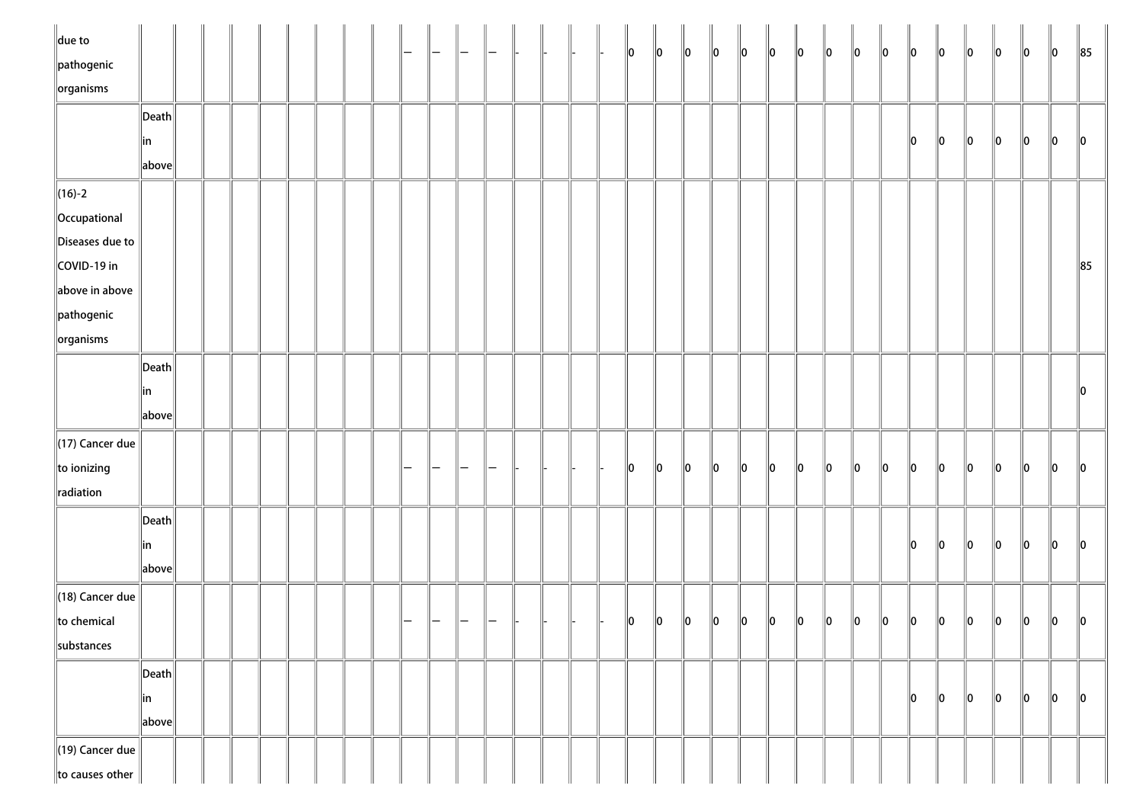| $\ $ due to                 |                                        |  |  |  |  |   |                 |                   |  |  | 10 | $\ 0\ $ | $\ 0\ $ | $\ 0\ $ | $\ 0\ $ | $\ 0\ $ | $\ 0\ $ | $\ 0\ $ | $\ 0\ $ | $\ 0\ $ | $\ 0\ $ | $\ 0\ $ | $\ 0\ $ | $\ 0\ $ | $\ 0\ $ | $\ 0\ $       | $\ 85$  |
|-----------------------------|----------------------------------------|--|--|--|--|---|-----------------|-------------------|--|--|----|---------|---------|---------|---------|---------|---------|---------|---------|---------|---------|---------|---------|---------|---------|---------------|---------|
| $\ $ pathogenic             |                                        |  |  |  |  |   |                 |                   |  |  |    |         |         |         |         |         |         |         |         |         |         |         |         |         |         |               |         |
| $\left\Vert$ organisms      |                                        |  |  |  |  |   |                 |                   |  |  |    |         |         |         |         |         |         |         |         |         |         |         |         |         |         |               |         |
|                             | Death                                  |  |  |  |  |   |                 |                   |  |  |    |         |         |         |         |         |         |         |         |         |         |         |         |         |         |               |         |
|                             | in<br>$\ $ above $\ $                  |  |  |  |  |   |                 |                   |  |  |    |         |         |         |         |         |         |         |         |         | 10      | $\ 0\ $ | 10      | $\ 0\ $ | 10      | 10            | 10      |
| $\ $ (16)-2                 |                                        |  |  |  |  |   |                 |                   |  |  |    |         |         |         |         |         |         |         |         |         |         |         |         |         |         |               |         |
| Occupational                |                                        |  |  |  |  |   |                 |                   |  |  |    |         |         |         |         |         |         |         |         |         |         |         |         |         |         |               |         |
| Diseases due to             |                                        |  |  |  |  |   |                 |                   |  |  |    |         |         |         |         |         |         |         |         |         |         |         |         |         |         |               |         |
| COVID-19 in                 |                                        |  |  |  |  |   |                 |                   |  |  |    |         |         |         |         |         |         |         |         |         |         |         |         |         |         |               | $\ 85$  |
| above in above              |                                        |  |  |  |  |   |                 |                   |  |  |    |         |         |         |         |         |         |         |         |         |         |         |         |         |         |               |         |
| $\ $ pathogenic             |                                        |  |  |  |  |   |                 |                   |  |  |    |         |         |         |         |         |         |         |         |         |         |         |         |         |         |               |         |
| $\left\Vert$ organisms      |                                        |  |  |  |  |   |                 |                   |  |  |    |         |         |         |         |         |         |         |         |         |         |         |         |         |         |               |         |
|                             | $\ $ Death $\ $                        |  |  |  |  |   |                 |                   |  |  |    |         |         |         |         |         |         |         |         |         |         |         |         |         |         |               |         |
|                             | ∥in                                    |  |  |  |  |   |                 |                   |  |  |    |         |         |         |         |         |         |         |         |         |         |         |         |         |         |               |         |
|                             | above                                  |  |  |  |  |   |                 |                   |  |  |    |         |         |         |         |         |         |         |         |         |         |         |         |         |         |               |         |
| $(17)$ Cancer due           |                                        |  |  |  |  |   |                 |                   |  |  |    |         |         |         |         |         |         |         |         |         |         |         |         |         |         |               |         |
| $\ $ to ionizing            |                                        |  |  |  |  |   |                 |                   |  |  | 10 | $\ 0\ $ | $\ 0\ $ | $\ 0\ $ | 10      | $\ 0\ $ | 10      | $\ 0\ $ | 10      | 10      | 10      | 10      | 10      | llo     | lo.     | llo           | 10      |
| radiation                   |                                        |  |  |  |  |   |                 |                   |  |  |    |         |         |         |         |         |         |         |         |         |         |         |         |         |         |               |         |
|                             | $\left\Vert \mathsf{Death}\right\Vert$ |  |  |  |  |   |                 |                   |  |  |    |         |         |         |         |         |         |         |         |         |         |         |         |         |         |               |         |
|                             | ∥in                                    |  |  |  |  |   |                 |                   |  |  |    |         |         |         |         |         |         |         |         |         | 10      | llo     | 10      | $\ 0\ $ | 10      | $\ 0\ $       | ll0     |
|                             | $\ $ above $\ $                        |  |  |  |  |   |                 |                   |  |  |    |         |         |         |         |         |         |         |         |         |         |         |         |         |         |               |         |
| $\parallel$ (18) Cancer due |                                        |  |  |  |  |   |                 |                   |  |  |    |         |         |         |         |         |         |         |         |         |         |         |         |         |         |               |         |
| $\ $ to chemical            |                                        |  |  |  |  | - | $\qquad \qquad$ | $\qquad \qquad -$ |  |  | 10 | 10      | 10      | 10      | 10      | 10      | 10      | 10      | 10      | 10      | 10      | 10      | 10      | 10      | 10      | $\parallel$ 0 | 10      |
| substances                  |                                        |  |  |  |  |   |                 |                   |  |  |    |         |         |         |         |         |         |         |         |         |         |         |         |         |         |               |         |
|                             | $\left\Vert \mathsf{Death}\right\Vert$ |  |  |  |  |   |                 |                   |  |  |    |         |         |         |         |         |         |         |         |         |         |         |         |         |         |               |         |
|                             | in                                     |  |  |  |  |   |                 |                   |  |  |    |         |         |         |         |         |         |         |         |         | 10      | 10      | 10      | 10      | $\ 0\ $ | 10            | $\ 0\ $ |
|                             | $\ $ above $\ $                        |  |  |  |  |   |                 |                   |  |  |    |         |         |         |         |         |         |         |         |         |         |         |         |         |         |               |         |
| $\parallel$ (19) Cancer due |                                        |  |  |  |  |   |                 |                   |  |  |    |         |         |         |         |         |         |         |         |         |         |         |         |         |         |               |         |
| to causes other             |                                        |  |  |  |  |   |                 |                   |  |  |    |         |         |         |         |         |         |         |         |         |         |         |         |         |         |               |         |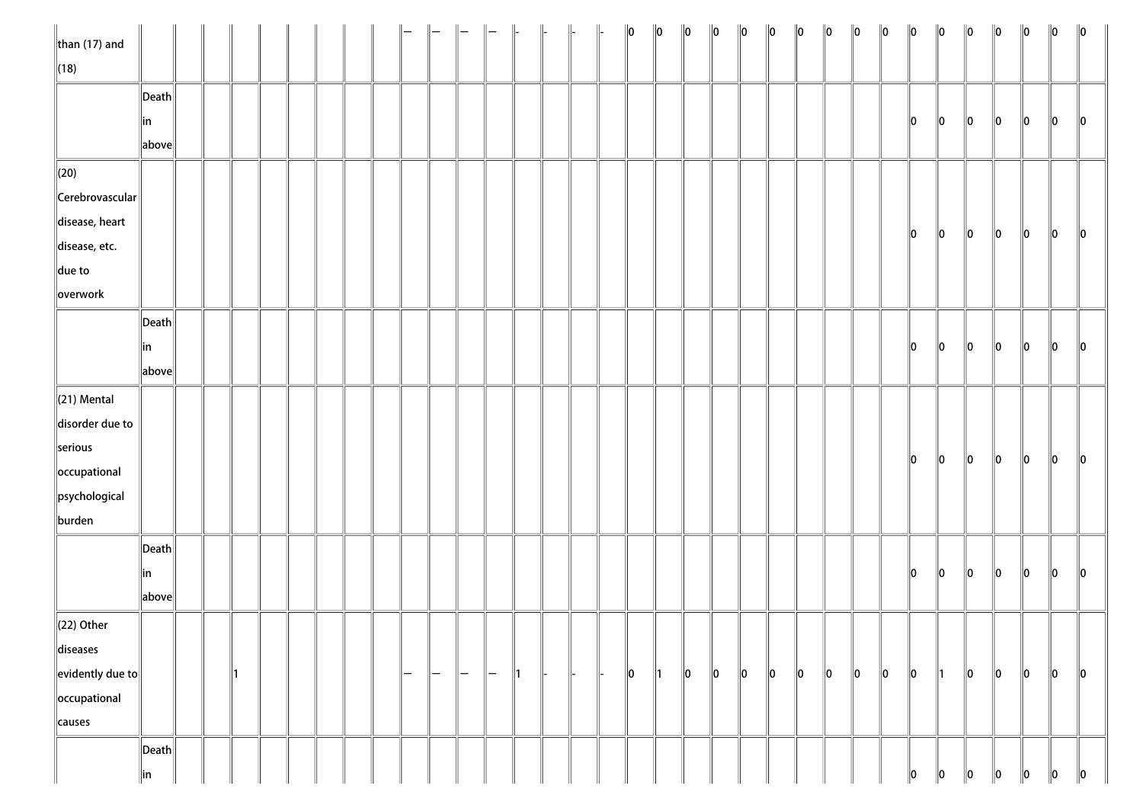| $\ $ than (17) and         |                       |  |    |  |  |     |     |     |                   | $\Big\ $ | $\parallel$ |  | $\ 0\ $     | $\ 0\ $       | $\ 0\ $ | $\ 0\ $ | $\ 0\ $ | $\ 0\ $ | $\ 0\ $     | $\ 0\ $ | $\ 0\ $     | $\ 0\ $ | $\ 0\ $       | $\ 0\ $       | $\ 0\ $     | $\ 0\ $ | $\ 0\ $ | $\ 0\ $     | $\ 0\ $       |
|----------------------------|-----------------------|--|----|--|--|-----|-----|-----|-------------------|----------|-------------|--|-------------|---------------|---------|---------|---------|---------|-------------|---------|-------------|---------|---------------|---------------|-------------|---------|---------|-------------|---------------|
| $\ $ (18)                  |                       |  |    |  |  |     |     |     |                   |          |             |  |             |               |         |         |         |         |             |         |             |         |               |               |             |         |         |             |               |
|                            | $\ $ Death $\ $       |  |    |  |  |     |     |     |                   |          |             |  |             |               |         |         |         |         |             |         |             |         |               |               |             |         |         |             |               |
|                            | ∥in                   |  |    |  |  |     |     |     |                   |          |             |  |             |               |         |         |         |         |             |         |             |         | 10            | $\ 0\ $       | $\ 0\ $     | 10      | 10      | 10          | $\ 0\ $       |
|                            | above                 |  |    |  |  |     |     |     |                   |          |             |  |             |               |         |         |         |         |             |         |             |         |               |               |             |         |         |             |               |
| $\parallel$ (20)           |                       |  |    |  |  |     |     |     |                   |          |             |  |             |               |         |         |         |         |             |         |             |         |               |               |             |         |         |             |               |
| $\ $ Cerebrovascular $\ $  |                       |  |    |  |  |     |     |     |                   |          |             |  |             |               |         |         |         |         |             |         |             |         |               |               |             |         |         |             |               |
| disease, heart             |                       |  |    |  |  |     |     |     |                   |          |             |  |             |               |         |         |         |         |             |         |             |         | 10            |               |             |         |         |             |               |
| disease, etc.              |                       |  |    |  |  |     |     |     |                   |          |             |  |             |               |         |         |         |         |             |         |             |         |               | $\ 0\ $       | $\ 0\ $     | 10      | 10      | $\ 0\ $     | $\ 0\ $       |
| $\ $ due to                |                       |  |    |  |  |     |     |     |                   |          |             |  |             |               |         |         |         |         |             |         |             |         |               |               |             |         |         |             |               |
| overwork                   |                       |  |    |  |  |     |     |     |                   |          |             |  |             |               |         |         |         |         |             |         |             |         |               |               |             |         |         |             |               |
|                            | $\vert$ Death $\vert$ |  |    |  |  |     |     |     |                   |          |             |  |             |               |         |         |         |         |             |         |             |         |               |               |             |         |         |             |               |
|                            | in                    |  |    |  |  |     |     |     |                   |          |             |  |             |               |         |         |         |         |             |         |             |         | $\ 0\ $       | $\ 0\ $       | $\ 0\ $     | $\ 0\ $ | $\ 0\ $ | 10          | $\parallel$ 0 |
|                            | above                 |  |    |  |  |     |     |     |                   |          |             |  |             |               |         |         |         |         |             |         |             |         |               |               |             |         |         |             |               |
| $\ $ (21) Mental           |                       |  |    |  |  |     |     |     |                   |          |             |  |             |               |         |         |         |         |             |         |             |         |               |               |             |         |         |             |               |
| disorder due to            |                       |  |    |  |  |     |     |     |                   |          |             |  |             |               |         |         |         |         |             |         |             |         |               |               |             |         |         |             |               |
| serious                    |                       |  |    |  |  |     |     |     |                   |          |             |  |             |               |         |         |         |         |             |         |             |         |               |               |             |         |         |             |               |
| occupational               |                       |  |    |  |  |     |     |     |                   |          |             |  |             |               |         |         |         |         |             |         |             |         | $\ 0\ $       | $\ 0\ $       | $\ 0\ $     | $\ 0\ $ | $\ 0\ $ | $ 0\rangle$ | $\ 0\ $       |
| psychological              |                       |  |    |  |  |     |     |     |                   |          |             |  |             |               |         |         |         |         |             |         |             |         |               |               |             |         |         |             |               |
| burden                     |                       |  |    |  |  |     |     |     |                   |          |             |  |             |               |         |         |         |         |             |         |             |         |               |               |             |         |         |             |               |
|                            | $\ $ Death $\ $       |  |    |  |  |     |     |     |                   |          |             |  |             |               |         |         |         |         |             |         |             |         |               |               |             |         |         |             |               |
|                            | ∥in                   |  |    |  |  |     |     |     |                   |          |             |  |             |               |         |         |         |         |             |         |             |         | $\parallel$ 0 | $\ 0\ $       | $ 0\rangle$ | $\ 0\ $ | $\ 0\ $ | $ 0\rangle$ | $\ 0\ $       |
|                            | above                 |  |    |  |  |     |     |     |                   |          |             |  |             |               |         |         |         |         |             |         |             |         |               |               |             |         |         |             |               |
| $\ $ (22) Other            |                       |  |    |  |  |     |     |     |                   |          |             |  |             |               |         |         |         |         |             |         |             |         |               |               |             |         |         |             |               |
| diseases                   |                       |  |    |  |  |     |     |     |                   |          |             |  |             |               |         |         |         |         |             |         |             |         |               |               |             |         |         |             |               |
| $\ $ evidently due to $\ $ |                       |  | ∥1 |  |  | ı — | $-$ | ı — | $\qquad \qquad -$ | ∥1       |             |  | $ 0\rangle$ | $\parallel$ 1 | $\ 0\ $ | $\ 0\ $ | $\ 0\ $ | $\ 0\ $ | $ 0\rangle$ | $\ 0\ $ | $ 0\rangle$ | $\ 0\ $ | $\ 0\ $       | $\parallel$ 1 | $ 0\rangle$ | $\ 0\ $ | $\ 0\ $ | $ 0\rangle$ | $\ 0\ $       |
| occupational               |                       |  |    |  |  |     |     |     |                   |          |             |  |             |               |         |         |         |         |             |         |             |         |               |               |             |         |         |             |               |
| causes                     |                       |  |    |  |  |     |     |     |                   |          |             |  |             |               |         |         |         |         |             |         |             |         |               |               |             |         |         |             |               |
|                            | $\vert$ Death $\vert$ |  |    |  |  |     |     |     |                   |          |             |  |             |               |         |         |         |         |             |         |             |         |               |               |             |         |         |             |               |
|                            | in                    |  |    |  |  |     |     |     |                   |          |             |  |             |               |         |         |         |         |             |         |             |         | 10            | 10            | 10          | 10      | 10      | 10          | $\ 0\ $       |